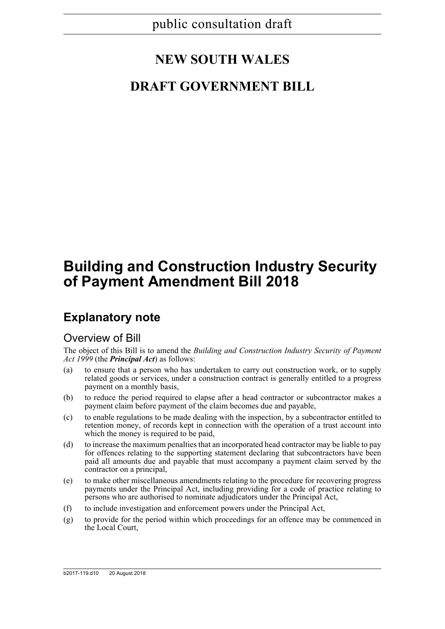# **NEW SOUTH WALES**

## **DRAFT GOVERNMENT BILL**

# **Building and Construction Industry Security of Payment Amendment Bill 2018**

## **Explanatory note**

### Overview of Bill

The object of this Bill is to amend the *Building and Construction Industry Security of Payment Act 1999* (the *Principal Act*) as follows:

- (a) to ensure that a person who has undertaken to carry out construction work, or to supply related goods or services, under a construction contract is generally entitled to a progress payment on a monthly basis,
- (b) to reduce the period required to elapse after a head contractor or subcontractor makes a payment claim before payment of the claim becomes due and payable,
- (c) to enable regulations to be made dealing with the inspection, by a subcontractor entitled to retention money, of records kept in connection with the operation of a trust account into which the money is required to be paid,
- (d) to increase the maximum penalties that an incorporated head contractor may be liable to pay for offences relating to the supporting statement declaring that subcontractors have been paid all amounts due and payable that must accompany a payment claim served by the contractor on a principal,
- (e) to make other miscellaneous amendments relating to the procedure for recovering progress payments under the Principal Act, including providing for a code of practice relating to persons who are authorised to nominate adjudicators under the Principal Act,
- (f) to include investigation and enforcement powers under the Principal Act,
- (g) to provide for the period within which proceedings for an offence may be commenced in the Local Court,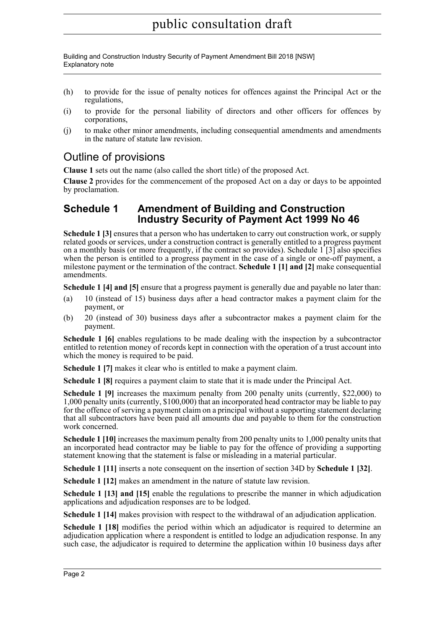Building and Construction Industry Security of Payment Amendment Bill 2018 [NSW] Explanatory note

- (h) to provide for the issue of penalty notices for offences against the Principal Act or the regulations,
- (i) to provide for the personal liability of directors and other officers for offences by corporations,
- (j) to make other minor amendments, including consequential amendments and amendments in the nature of statute law revision.

### Outline of provisions

**Clause 1** sets out the name (also called the short title) of the proposed Act.

**Clause 2** provides for the commencement of the proposed Act on a day or days to be appointed by proclamation.

### **Schedule 1 Amendment of Building and Construction Industry Security of Payment Act 1999 No 46**

**Schedule 1 [3]** ensures that a person who has undertaken to carry out construction work, or supply related goods or services, under a construction contract is generally entitled to a progress payment on a monthly basis (or more frequently, if the contract so provides). Schedule 1 [3] also specifies when the person is entitled to a progress payment in the case of a single or one-off payment, a milestone payment or the termination of the contract. **Schedule 1 [1] and [2]** make consequential amendments.

**Schedule 1** [4] and [5] ensure that a progress payment is generally due and payable no later than:

- (a) 10 (instead of 15) business days after a head contractor makes a payment claim for the payment, or
- (b) 20 (instead of 30) business days after a subcontractor makes a payment claim for the payment.

**Schedule 1 [6]** enables regulations to be made dealing with the inspection by a subcontractor entitled to retention money of records kept in connection with the operation of a trust account into which the money is required to be paid.

**Schedule 1 [7]** makes it clear who is entitled to make a payment claim.

**Schedule 1 [8]** requires a payment claim to state that it is made under the Principal Act.

**Schedule 1 [9]** increases the maximum penalty from 200 penalty units (currently, \$22,000) to 1,000 penalty units (currently, \$100,000) that an incorporated head contractor may be liable to pay for the offence of serving a payment claim on a principal without a supporting statement declaring that all subcontractors have been paid all amounts due and payable to them for the construction work concerned.

**Schedule 1 [10]** increases the maximum penalty from 200 penalty units to 1,000 penalty units that an incorporated head contractor may be liable to pay for the offence of providing a supporting statement knowing that the statement is false or misleading in a material particular.

**Schedule 1 [11]** inserts a note consequent on the insertion of section 34D by **Schedule 1 [32]**.

**Schedule 1 [12]** makes an amendment in the nature of statute law revision.

**Schedule 1 [13] and [15]** enable the regulations to prescribe the manner in which adjudication applications and adjudication responses are to be lodged.

**Schedule 1 [14]** makes provision with respect to the withdrawal of an adjudication application.

**Schedule 1 [18]** modifies the period within which an adjudicator is required to determine an adjudication application where a respondent is entitled to lodge an adjudication response. In any such case, the adjudicator is required to determine the application within 10 business days after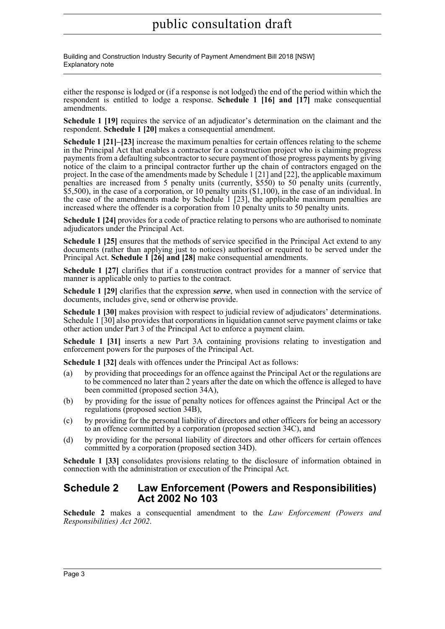Building and Construction Industry Security of Payment Amendment Bill 2018 [NSW] Explanatory note

either the response is lodged or (if a response is not lodged) the end of the period within which the respondent is entitled to lodge a response. **Schedule 1 [16] and [17]** make consequential amendments.

**Schedule 1 [19]** requires the service of an adjudicator's determination on the claimant and the respondent. **Schedule 1 [20]** makes a consequential amendment.

**Schedule 1 [21]–[23]** increase the maximum penalties for certain offences relating to the scheme in the Principal Act that enables a contractor for a construction project who is claiming progress payments from a defaulting subcontractor to secure payment of those progress payments by giving notice of the claim to a principal contractor further up the chain of contractors engaged on the project. In the case of the amendments made by Schedule 1 [21] and [22], the applicable maximum penalties are increased from 5 penalty units (currently, \$550) to 50 penalty units (currently, \$5,500), in the case of a corporation, or 10 penalty units (\$1,100), in the case of an individual. In the case of the amendments made by Schedule 1 [23], the applicable maximum penalties are increased where the offender is a corporation from 10 penalty units to 50 penalty units.

**Schedule 1 [24]** provides for a code of practice relating to persons who are authorised to nominate adjudicators under the Principal Act.

**Schedule 1 [25]** ensures that the methods of service specified in the Principal Act extend to any documents (rather than applying just to notices) authorised or required to be served under the Principal Act. **Schedule 1 [26] and [28]** make consequential amendments.

**Schedule 1 [27]** clarifies that if a construction contract provides for a manner of service that manner is applicable only to parties to the contract.

**Schedule 1 [29]** clarifies that the expression *serve*, when used in connection with the service of documents, includes give, send or otherwise provide.

**Schedule 1 [30]** makes provision with respect to judicial review of adjudicators' determinations. Schedule 1 [30] also provides that corporations in liquidation cannot serve payment claims or take other action under Part 3 of the Principal Act to enforce a payment claim.

**Schedule 1 [31]** inserts a new Part 3A containing provisions relating to investigation and enforcement powers for the purposes of the Principal Act.

**Schedule 1 [32]** deals with offences under the Principal Act as follows:

- (a) by providing that proceedings for an offence against the Principal Act or the regulations are to be commenced no later than 2 years after the date on which the offence is alleged to have been committed (proposed section 34A),
- (b) by providing for the issue of penalty notices for offences against the Principal Act or the regulations (proposed section 34B),
- (c) by providing for the personal liability of directors and other officers for being an accessory to an offence committed by a corporation (proposed section 34C), and
- (d) by providing for the personal liability of directors and other officers for certain offences committed by a corporation (proposed section 34D).

**Schedule 1 [33]** consolidates provisions relating to the disclosure of information obtained in connection with the administration or execution of the Principal Act.

### **Schedule 2 Law Enforcement (Powers and Responsibilities) Act 2002 No 103**

**Schedule 2** makes a consequential amendment to the *Law Enforcement (Powers and Responsibilities) Act 2002*.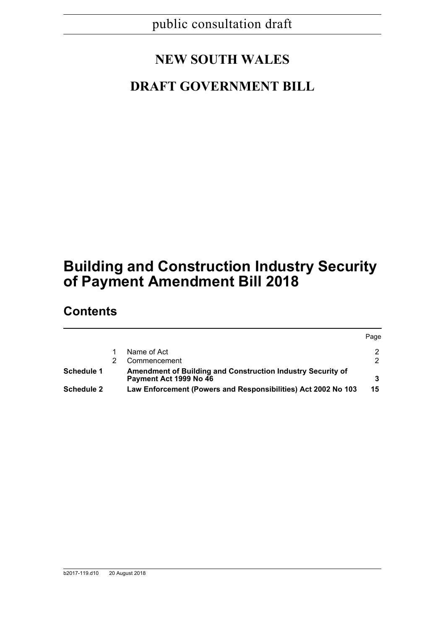# **NEW SOUTH WALES**

## **DRAFT GOVERNMENT BILL**

# **Building and Construction Industry Security of Payment Amendment Bill 2018**

### **Contents**

|                   |                                                                                       | Page |
|-------------------|---------------------------------------------------------------------------------------|------|
|                   | Name of Act                                                                           |      |
|                   | Commencement                                                                          |      |
| Schedule 1        | Amendment of Building and Construction Industry Security of<br>Payment Act 1999 No 46 |      |
| <b>Schedule 2</b> | Law Enforcement (Powers and Responsibilities) Act 2002 No 103                         | 15   |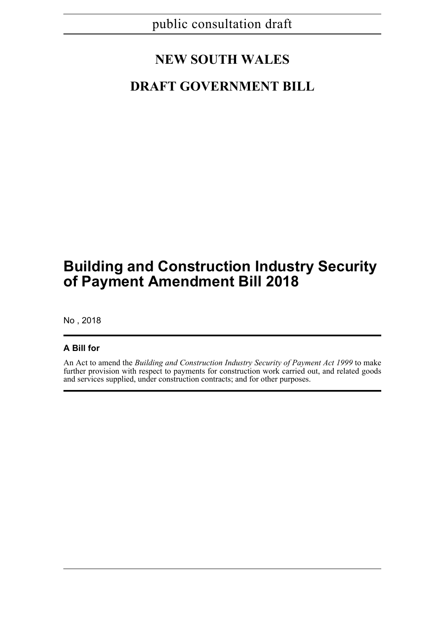# **NEW SOUTH WALES**

## **DRAFT GOVERNMENT BILL**

# **Building and Construction Industry Security of Payment Amendment Bill 2018**

No , 2018

### **A Bill for**

An Act to amend the *Building and Construction Industry Security of Payment Act 1999* to make further provision with respect to payments for construction work carried out, and related goods and services supplied, under construction contracts; and for other purposes.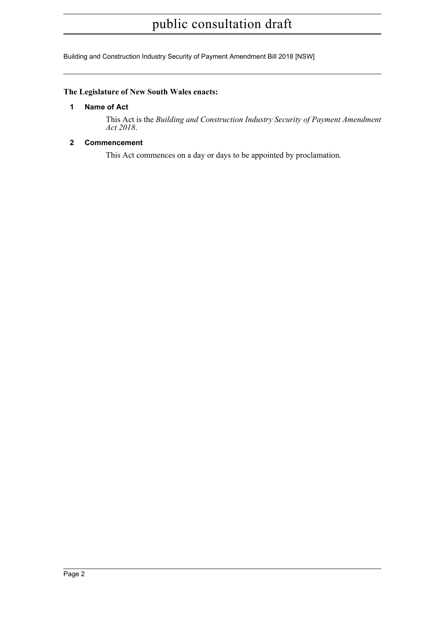Building and Construction Industry Security of Payment Amendment Bill 2018 [NSW]

#### <span id="page-5-0"></span>**The Legislature of New South Wales enacts:**

#### **1 Name of Act**

This Act is the *Building and Construction Industry Security of Payment Amendment Act 2018*.

#### <span id="page-5-1"></span>**2 Commencement**

This Act commences on a day or days to be appointed by proclamation.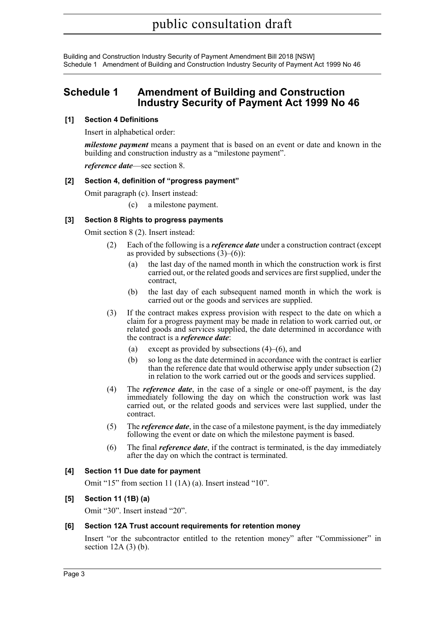Building and Construction Industry Security of Payment Amendment Bill 2018 [NSW] Schedule 1 Amendment of Building and Construction Industry Security of Payment Act 1999 No 46

### <span id="page-6-0"></span>**Schedule 1 Amendment of Building and Construction Industry Security of Payment Act 1999 No 46**

#### **[1] Section 4 Definitions**

Insert in alphabetical order:

*milestone payment* means a payment that is based on an event or date and known in the building and construction industry as a "milestone payment".

*reference date*—see section 8.

#### **[2] Section 4, definition of "progress payment"**

Omit paragraph (c). Insert instead:

(c) a milestone payment.

#### **[3] Section 8 Rights to progress payments**

Omit section 8 (2). Insert instead:

- (2) Each of the following is a *reference date* under a construction contract (except as provided by subsections  $(3)–(6)$ :
	- (a) the last day of the named month in which the construction work is first carried out, or the related goods and services are first supplied, under the contract,
	- (b) the last day of each subsequent named month in which the work is carried out or the goods and services are supplied.
- (3) If the contract makes express provision with respect to the date on which a claim for a progress payment may be made in relation to work carried out, or related goods and services supplied, the date determined in accordance with the contract is a *reference date*:
	- (a) except as provided by subsections  $(4)$ – $(6)$ , and
	- (b) so long as the date determined in accordance with the contract is earlier than the reference date that would otherwise apply under subsection (2) in relation to the work carried out or the goods and services supplied.
- (4) The *reference date*, in the case of a single or one-off payment, is the day immediately following the day on which the construction work was last carried out, or the related goods and services were last supplied, under the contract.
- (5) The *reference date*, in the case of a milestone payment, is the day immediately following the event or date on which the milestone payment is based.
- (6) The final *reference date*, if the contract is terminated, is the day immediately after the day on which the contract is terminated.

#### **[4] Section 11 Due date for payment**

Omit "15" from section 11 (1A) (a). Insert instead "10".

#### **[5] Section 11 (1B) (a)**

Omit "30". Insert instead "20".

#### **[6] Section 12A Trust account requirements for retention money**

Insert "or the subcontractor entitled to the retention money" after "Commissioner" in section  $12A(3)$  (b).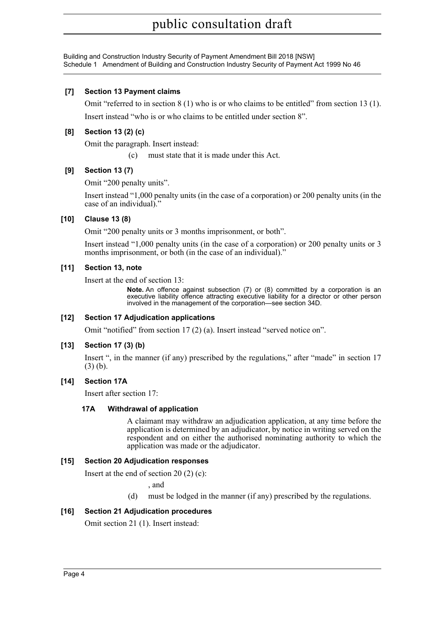Building and Construction Industry Security of Payment Amendment Bill 2018 [NSW] Schedule 1 Amendment of Building and Construction Industry Security of Payment Act 1999 No 46

#### **[7] Section 13 Payment claims**

Omit "referred to in section 8 (1) who is or who claims to be entitled" from section 13 (1). Insert instead "who is or who claims to be entitled under section 8".

#### **[8] Section 13 (2) (c)**

Omit the paragraph. Insert instead:

(c) must state that it is made under this Act.

#### **[9] Section 13 (7)**

Omit "200 penalty units".

Insert instead "1,000 penalty units (in the case of a corporation) or 200 penalty units (in the case of an individual)."

#### **[10] Clause 13 (8)**

Omit "200 penalty units or 3 months imprisonment, or both".

Insert instead "1,000 penalty units (in the case of a corporation) or 200 penalty units or 3 months imprisonment, or both (in the case of an individual)."

#### **[11] Section 13, note**

Insert at the end of section 13:

**Note.** An offence against subsection (7) or (8) committed by a corporation is an executive liability offence attracting executive liability for a director or other person involved in the management of the corporation—see section 34D.

#### **[12] Section 17 Adjudication applications**

Omit "notified" from section 17 (2) (a). Insert instead "served notice on".

#### **[13] Section 17 (3) (b)**

Insert ", in the manner (if any) prescribed by the regulations," after "made" in section 17 (3) (b).

#### **[14] Section 17A**

Insert after section 17:

#### **17A Withdrawal of application**

A claimant may withdraw an adjudication application, at any time before the application is determined by an adjudicator, by notice in writing served on the respondent and on either the authorised nominating authority to which the application was made or the adjudicator.

#### **[15] Section 20 Adjudication responses**

Insert at the end of section 20 (2) (c):

, and

(d) must be lodged in the manner (if any) prescribed by the regulations.

#### **[16] Section 21 Adjudication procedures**

Omit section 21 (1). Insert instead: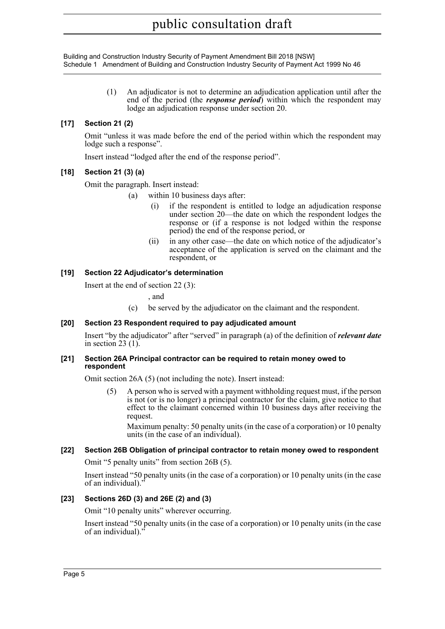Building and Construction Industry Security of Payment Amendment Bill 2018 [NSW] Schedule 1 Amendment of Building and Construction Industry Security of Payment Act 1999 No 46

> (1) An adjudicator is not to determine an adjudication application until after the end of the period (the *response period*) within which the respondent may lodge an adjudication response under section 20.

#### **[17] Section 21 (2)**

Omit "unless it was made before the end of the period within which the respondent may lodge such a response".

Insert instead "lodged after the end of the response period".

#### **[18] Section 21 (3) (a)**

Omit the paragraph. Insert instead:

- (a) within 10 business days after:
	- (i) if the respondent is entitled to lodge an adjudication response under section 20—the date on which the respondent lodges the response or (if a response is not lodged within the response period) the end of the response period, or
	- (ii) in any other case—the date on which notice of the adjudicator's acceptance of the application is served on the claimant and the respondent, or

#### **[19] Section 22 Adjudicator's determination**

Insert at the end of section 22 (3):

, and

(c) be served by the adjudicator on the claimant and the respondent.

#### **[20] Section 23 Respondent required to pay adjudicated amount**

Insert "by the adjudicator" after "served" in paragraph (a) of the definition of *relevant date* in section 23 (1).

#### **[21] Section 26A Principal contractor can be required to retain money owed to respondent**

Omit section 26A (5) (not including the note). Insert instead:

(5) A person who is served with a payment withholding request must, if the person is not (or is no longer) a principal contractor for the claim, give notice to that effect to the claimant concerned within 10 business days after receiving the request.

Maximum penalty: 50 penalty units (in the case of a corporation) or 10 penalty units (in the case of an individual).

#### **[22] Section 26B Obligation of principal contractor to retain money owed to respondent**

Omit "5 penalty units" from section 26B (5).

Insert instead "50 penalty units (in the case of a corporation) or 10 penalty units (in the case of an individual)."

#### **[23] Sections 26D (3) and 26E (2) and (3)**

Omit "10 penalty units" wherever occurring.

Insert instead "50 penalty units (in the case of a corporation) or 10 penalty units (in the case of an individual).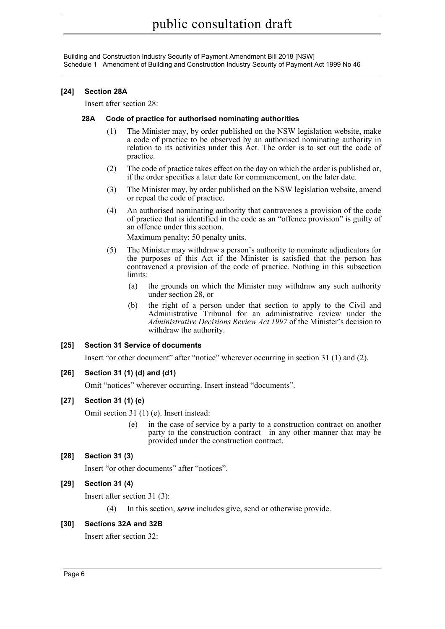Building and Construction Industry Security of Payment Amendment Bill 2018 [NSW] Schedule 1 Amendment of Building and Construction Industry Security of Payment Act 1999 No 46

#### **[24] Section 28A**

Insert after section 28:

#### **28A Code of practice for authorised nominating authorities**

- (1) The Minister may, by order published on the NSW legislation website, make a code of practice to be observed by an authorised nominating authority in relation to its activities under this Act. The order is to set out the code of practice.
- (2) The code of practice takes effect on the day on which the order is published or, if the order specifies a later date for commencement, on the later date.
- (3) The Minister may, by order published on the NSW legislation website, amend or repeal the code of practice.
- (4) An authorised nominating authority that contravenes a provision of the code of practice that is identified in the code as an "offence provision" is guilty of an offence under this section.

Maximum penalty: 50 penalty units.

- (5) The Minister may withdraw a person's authority to nominate adjudicators for the purposes of this Act if the Minister is satisfied that the person has contravened a provision of the code of practice. Nothing in this subsection limits:
	- (a) the grounds on which the Minister may withdraw any such authority under section 28, or
	- (b) the right of a person under that section to apply to the Civil and Administrative Tribunal for an administrative review under the *Administrative Decisions Review Act 1997* of the Minister's decision to withdraw the authority.

#### **[25] Section 31 Service of documents**

Insert "or other document" after "notice" wherever occurring in section 31 (1) and (2).

#### **[26] Section 31 (1) (d) and (d1)**

Omit "notices" wherever occurring. Insert instead "documents".

#### **[27] Section 31 (1) (e)**

Omit section 31 (1) (e). Insert instead:

(e) in the case of service by a party to a construction contract on another party to the construction contract—in any other manner that may be provided under the construction contract.

#### **[28] Section 31 (3)**

Insert "or other documents" after "notices".

#### **[29] Section 31 (4)**

Insert after section 31 (3):

(4) In this section, *serve* includes give, send or otherwise provide.

#### **[30] Sections 32A and 32B**

Insert after section 32: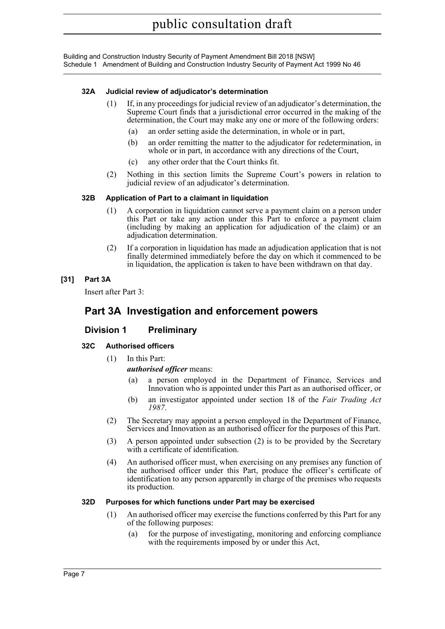#### **32A Judicial review of adjudicator's determination**

- (1) If, in any proceedings for judicial review of an adjudicator's determination, the Supreme Court finds that a jurisdictional error occurred in the making of the determination, the Court may make any one or more of the following orders:
	- (a) an order setting aside the determination, in whole or in part,
	- (b) an order remitting the matter to the adjudicator for redetermination, in whole or in part, in accordance with any directions of the Court,
	- (c) any other order that the Court thinks fit.
- (2) Nothing in this section limits the Supreme Court's powers in relation to judicial review of an adjudicator's determination.

#### **32B Application of Part to a claimant in liquidation**

- (1) A corporation in liquidation cannot serve a payment claim on a person under this Part or take any action under this Part to enforce a payment claim (including by making an application for adjudication of the claim) or an adjudication determination.
- (2) If a corporation in liquidation has made an adjudication application that is not finally determined immediately before the day on which it commenced to be in liquidation, the application is taken to have been withdrawn on that day.

#### **[31] Part 3A**

Insert after Part 3:

### **Part 3A Investigation and enforcement powers**

#### **Division 1 Preliminary**

#### **32C Authorised officers**

(1) In this Part:

#### *authorised officer* means:

- (a) a person employed in the Department of Finance, Services and Innovation who is appointed under this Part as an authorised officer, or
- (b) an investigator appointed under section 18 of the *Fair Trading Act 1987*.
- (2) The Secretary may appoint a person employed in the Department of Finance, Services and Innovation as an authorised officer for the purposes of this Part.
- (3) A person appointed under subsection (2) is to be provided by the Secretary with a certificate of identification.
- (4) An authorised officer must, when exercising on any premises any function of the authorised officer under this Part, produce the officer's certificate of identification to any person apparently in charge of the premises who requests its production.

#### **32D Purposes for which functions under Part may be exercised**

- (1) An authorised officer may exercise the functions conferred by this Part for any of the following purposes:
	- (a) for the purpose of investigating, monitoring and enforcing compliance with the requirements imposed by or under this Act,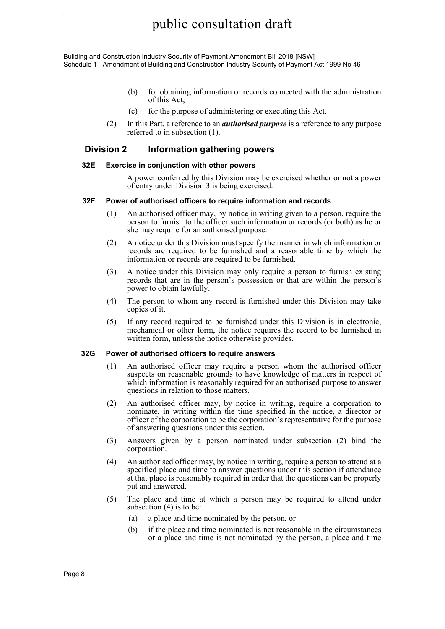- (b) for obtaining information or records connected with the administration of this Act,
- (c) for the purpose of administering or executing this Act.
- (2) In this Part, a reference to an *authorised purpose* is a reference to any purpose referred to in subsection (1).

#### **Division 2 Information gathering powers**

#### **32E Exercise in conjunction with other powers**

A power conferred by this Division may be exercised whether or not a power of entry under Division 3 is being exercised.

#### **32F Power of authorised officers to require information and records**

- (1) An authorised officer may, by notice in writing given to a person, require the person to furnish to the officer such information or records (or both) as he or she may require for an authorised purpose.
- (2) A notice under this Division must specify the manner in which information or records are required to be furnished and a reasonable time by which the information or records are required to be furnished.
- (3) A notice under this Division may only require a person to furnish existing records that are in the person's possession or that are within the person's power to obtain lawfully.
- (4) The person to whom any record is furnished under this Division may take copies of it.
- (5) If any record required to be furnished under this Division is in electronic, mechanical or other form, the notice requires the record to be furnished in written form, unless the notice otherwise provides.

#### **32G Power of authorised officers to require answers**

- (1) An authorised officer may require a person whom the authorised officer suspects on reasonable grounds to have knowledge of matters in respect of which information is reasonably required for an authorised purpose to answer questions in relation to those matters.
- (2) An authorised officer may, by notice in writing, require a corporation to nominate, in writing within the time specified in the notice, a director or officer of the corporation to be the corporation's representative for the purpose of answering questions under this section.
- (3) Answers given by a person nominated under subsection (2) bind the corporation.
- (4) An authorised officer may, by notice in writing, require a person to attend at a specified place and time to answer questions under this section if attendance at that place is reasonably required in order that the questions can be properly put and answered.
- (5) The place and time at which a person may be required to attend under subsection (4) is to be:
	- (a) a place and time nominated by the person, or
	- (b) if the place and time nominated is not reasonable in the circumstances or a place and time is not nominated by the person, a place and time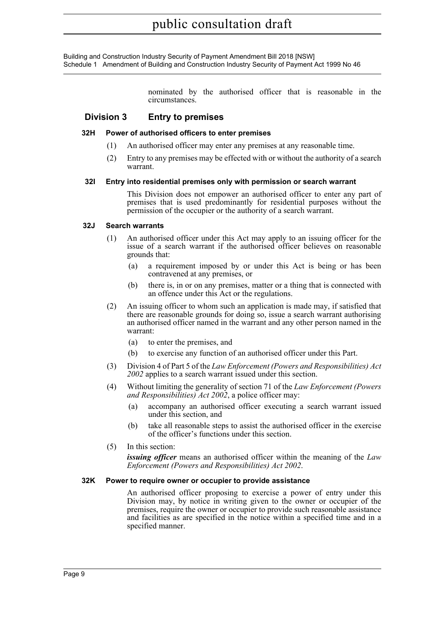> nominated by the authorised officer that is reasonable in the circumstances.

#### **Division 3 Entry to premises**

#### **32H Power of authorised officers to enter premises**

- (1) An authorised officer may enter any premises at any reasonable time.
- (2) Entry to any premises may be effected with or without the authority of a search warrant.

#### **32I Entry into residential premises only with permission or search warrant**

This Division does not empower an authorised officer to enter any part of premises that is used predominantly for residential purposes without the permission of the occupier or the authority of a search warrant.

#### **32J Search warrants**

- (1) An authorised officer under this Act may apply to an issuing officer for the issue of a search warrant if the authorised officer believes on reasonable grounds that:
	- (a) a requirement imposed by or under this Act is being or has been contravened at any premises, or
	- (b) there is, in or on any premises, matter or a thing that is connected with an offence under this Act or the regulations.
- (2) An issuing officer to whom such an application is made may, if satisfied that there are reasonable grounds for doing so, issue a search warrant authorising an authorised officer named in the warrant and any other person named in the warrant:
	- (a) to enter the premises, and
	- (b) to exercise any function of an authorised officer under this Part.
- (3) Division 4 of Part 5 of the *Law Enforcement (Powers and Responsibilities) Act 2002* applies to a search warrant issued under this section.
- (4) Without limiting the generality of section 71 of the *Law Enforcement (Powers and Responsibilities) Act 2002*, a police officer may:
	- (a) accompany an authorised officer executing a search warrant issued under this section, and
	- (b) take all reasonable steps to assist the authorised officer in the exercise of the officer's functions under this section.
- (5) In this section:

*issuing officer* means an authorised officer within the meaning of the *Law Enforcement (Powers and Responsibilities) Act 2002*.

#### **32K Power to require owner or occupier to provide assistance**

An authorised officer proposing to exercise a power of entry under this Division may, by notice in writing given to the owner or occupier of the premises, require the owner or occupier to provide such reasonable assistance and facilities as are specified in the notice within a specified time and in a specified manner.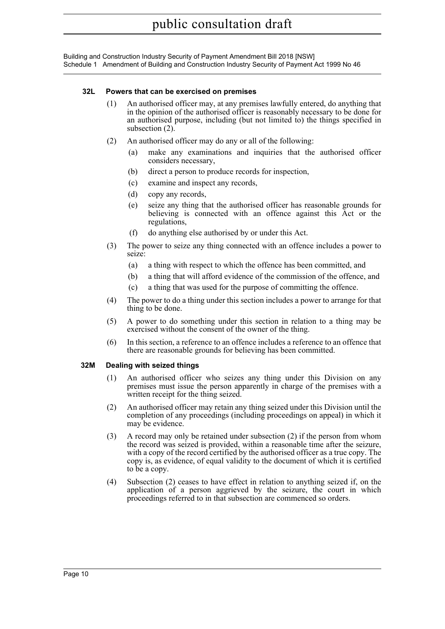#### **32L Powers that can be exercised on premises**

- (1) An authorised officer may, at any premises lawfully entered, do anything that in the opinion of the authorised officer is reasonably necessary to be done for an authorised purpose, including (but not limited to) the things specified in subsection (2).
- (2) An authorised officer may do any or all of the following:
	- (a) make any examinations and inquiries that the authorised officer considers necessary,
	- (b) direct a person to produce records for inspection,
	- (c) examine and inspect any records,
	- (d) copy any records,
	- (e) seize any thing that the authorised officer has reasonable grounds for believing is connected with an offence against this Act or the regulations,
	- (f) do anything else authorised by or under this Act.
- (3) The power to seize any thing connected with an offence includes a power to seize:
	- (a) a thing with respect to which the offence has been committed, and
	- (b) a thing that will afford evidence of the commission of the offence, and
	- (c) a thing that was used for the purpose of committing the offence.
- (4) The power to do a thing under this section includes a power to arrange for that thing to be done.
- (5) A power to do something under this section in relation to a thing may be exercised without the consent of the owner of the thing.
- (6) In this section, a reference to an offence includes a reference to an offence that there are reasonable grounds for believing has been committed.

#### **32M Dealing with seized things**

- (1) An authorised officer who seizes any thing under this Division on any premises must issue the person apparently in charge of the premises with a written receipt for the thing seized.
- (2) An authorised officer may retain any thing seized under this Division until the completion of any proceedings (including proceedings on appeal) in which it may be evidence.
- (3) A record may only be retained under subsection (2) if the person from whom the record was seized is provided, within a reasonable time after the seizure, with a copy of the record certified by the authorised officer as a true copy. The copy is, as evidence, of equal validity to the document of which it is certified to be a copy.
- (4) Subsection (2) ceases to have effect in relation to anything seized if, on the application of a person aggrieved by the seizure, the court in which proceedings referred to in that subsection are commenced so orders.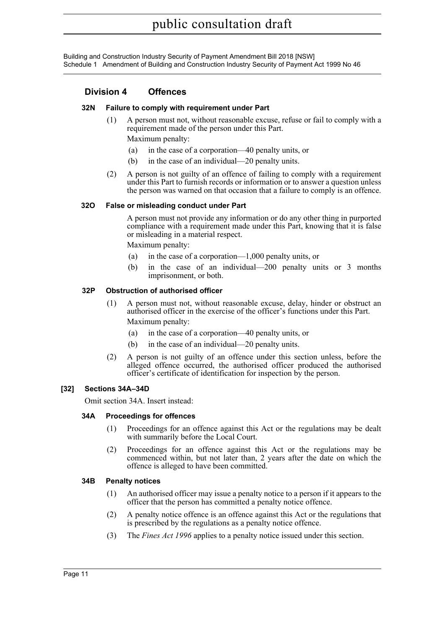#### **Division 4 Offences**

#### **32N Failure to comply with requirement under Part**

(1) A person must not, without reasonable excuse, refuse or fail to comply with a requirement made of the person under this Part.

Maximum penalty:

- (a) in the case of a corporation—40 penalty units, or
- (b) in the case of an individual—20 penalty units.
- (2) A person is not guilty of an offence of failing to comply with a requirement under this Part to furnish records or information or to answer a question unless the person was warned on that occasion that a failure to comply is an offence.

#### **32O False or misleading conduct under Part**

A person must not provide any information or do any other thing in purported compliance with a requirement made under this Part, knowing that it is false or misleading in a material respect.

Maximum penalty:

- (a) in the case of a corporation—1,000 penalty units, or
- (b) in the case of an individual—200 penalty units or 3 months imprisonment, or both.

#### **32P Obstruction of authorised officer**

- (1) A person must not, without reasonable excuse, delay, hinder or obstruct an authorised officer in the exercise of the officer's functions under this Part. Maximum penalty:
	- (a) in the case of a corporation—40 penalty units, or
	- (b) in the case of an individual—20 penalty units.
- (2) A person is not guilty of an offence under this section unless, before the alleged offence occurred, the authorised officer produced the authorised officer's certificate of identification for inspection by the person.

#### **[32] Sections 34A–34D**

Omit section 34A. Insert instead:

#### **34A Proceedings for offences**

- (1) Proceedings for an offence against this Act or the regulations may be dealt with summarily before the Local Court.
- (2) Proceedings for an offence against this Act or the regulations may be commenced within, but not later than, 2 years after the date on which the offence is alleged to have been committed.

#### **34B Penalty notices**

- (1) An authorised officer may issue a penalty notice to a person if it appears to the officer that the person has committed a penalty notice offence.
- (2) A penalty notice offence is an offence against this Act or the regulations that is prescribed by the regulations as a penalty notice offence.
- (3) The *Fines Act 1996* applies to a penalty notice issued under this section.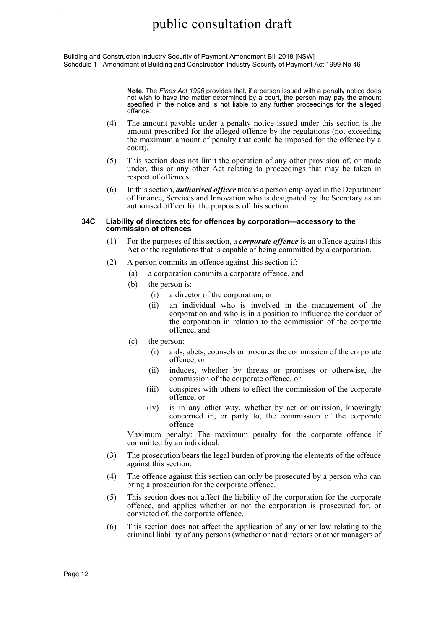Building and Construction Industry Security of Payment Amendment Bill 2018 [NSW] Schedule 1 Amendment of Building and Construction Industry Security of Payment Act 1999 No 46

> **Note.** The *Fines Act 1996* provides that, if a person issued with a penalty notice does not wish to have the matter determined by a court, the person may pay the amount specified in the notice and is not liable to any further proceedings for the alleged offence.

- (4) The amount payable under a penalty notice issued under this section is the amount prescribed for the alleged offence by the regulations (not exceeding the maximum amount of penalty that could be imposed for the offence by a court).
- (5) This section does not limit the operation of any other provision of, or made under, this or any other Act relating to proceedings that may be taken in respect of offences.
- (6) In this section, *authorised officer* means a person employed in the Department of Finance, Services and Innovation who is designated by the Secretary as an authorised officer for the purposes of this section.

#### **34C Liability of directors etc for offences by corporation—accessory to the commission of offences**

- (1) For the purposes of this section, a *corporate offence* is an offence against this Act or the regulations that is capable of being committed by a corporation.
- (2) A person commits an offence against this section if:
	- (a) a corporation commits a corporate offence, and
	- (b) the person is:
		- (i) a director of the corporation, or
		- (ii) an individual who is involved in the management of the corporation and who is in a position to influence the conduct of the corporation in relation to the commission of the corporate offence, and
	- (c) the person:
		- (i) aids, abets, counsels or procures the commission of the corporate offence, or
		- (ii) induces, whether by threats or promises or otherwise, the commission of the corporate offence, or
		- (iii) conspires with others to effect the commission of the corporate offence, or
		- (iv) is in any other way, whether by act or omission, knowingly concerned in, or party to, the commission of the corporate offence.

Maximum penalty: The maximum penalty for the corporate offence if committed by an individual.

- (3) The prosecution bears the legal burden of proving the elements of the offence against this section.
- (4) The offence against this section can only be prosecuted by a person who can bring a prosecution for the corporate offence.
- (5) This section does not affect the liability of the corporation for the corporate offence, and applies whether or not the corporation is prosecuted for, or convicted of, the corporate offence.
- (6) This section does not affect the application of any other law relating to the criminal liability of any persons (whether or not directors or other managers of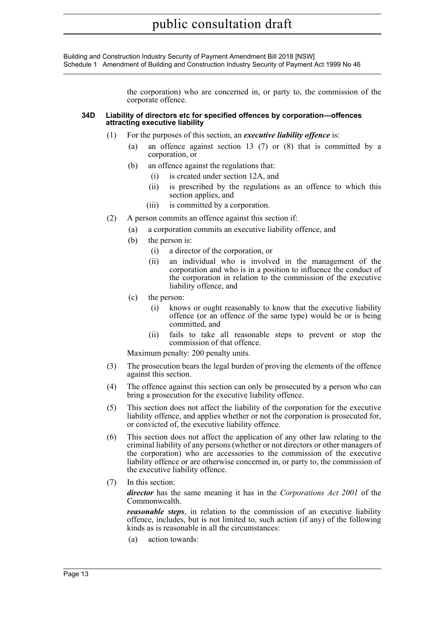Building and Construction Industry Security of Payment Amendment Bill 2018 [NSW] Schedule 1 Amendment of Building and Construction Industry Security of Payment Act 1999 No 46

> the corporation) who are concerned in, or party to, the commission of the corporate offence.

#### **34D Liability of directors etc for specified offences by corporation—offences attracting executive liability**

- (1) For the purposes of this section, an *executive liability offence* is:
	- (a) an offence against section 13 (7) or (8) that is committed by a corporation, or
	- (b) an offence against the regulations that:
		- (i) is created under section 12A, and
		- (ii) is prescribed by the regulations as an offence to which this section applies, and
		- (iii) is committed by a corporation.
- (2) A person commits an offence against this section if:
	- (a) a corporation commits an executive liability offence, and
	- (b) the person is:
		- (i) a director of the corporation, or
		- (ii) an individual who is involved in the management of the corporation and who is in a position to influence the conduct of the corporation in relation to the commission of the executive liability offence, and
	- (c) the person:
		- (i) knows or ought reasonably to know that the executive liability offence (or an offence of the same type) would be or is being committed, and
		- (ii) fails to take all reasonable steps to prevent or stop the commission of that offence.

Maximum penalty: 200 penalty units.

- (3) The prosecution bears the legal burden of proving the elements of the offence against this section.
- (4) The offence against this section can only be prosecuted by a person who can bring a prosecution for the executive liability offence.
- (5) This section does not affect the liability of the corporation for the executive liability offence, and applies whether or not the corporation is prosecuted for, or convicted of, the executive liability offence.
- (6) This section does not affect the application of any other law relating to the criminal liability of any persons (whether or not directors or other managers of the corporation) who are accessories to the commission of the executive liability offence or are otherwise concerned in, or party to, the commission of the executive liability offence.
- (7) In this section:

*director* has the same meaning it has in the *Corporations Act 2001* of the Commonwealth.

*reasonable steps*, in relation to the commission of an executive liability offence, includes, but is not limited to, such action (if any) of the following kinds as is reasonable in all the circumstances:

(a) action towards: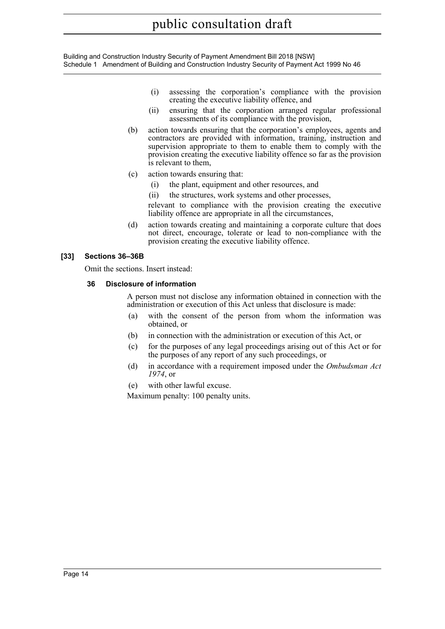- (i) assessing the corporation's compliance with the provision creating the executive liability offence, and
- (ii) ensuring that the corporation arranged regular professional assessments of its compliance with the provision,
- (b) action towards ensuring that the corporation's employees, agents and contractors are provided with information, training, instruction and supervision appropriate to them to enable them to comply with the provision creating the executive liability offence so far as the provision is relevant to them,
- (c) action towards ensuring that:
	- (i) the plant, equipment and other resources, and
	- (ii) the structures, work systems and other processes,

relevant to compliance with the provision creating the executive liability offence are appropriate in all the circumstances,

(d) action towards creating and maintaining a corporate culture that does not direct, encourage, tolerate or lead to non-compliance with the provision creating the executive liability offence.

#### **[33] Sections 36–36B**

Omit the sections. Insert instead:

#### **36 Disclosure of information**

A person must not disclose any information obtained in connection with the administration or execution of this Act unless that disclosure is made:

- (a) with the consent of the person from whom the information was obtained, or
- (b) in connection with the administration or execution of this Act, or
- (c) for the purposes of any legal proceedings arising out of this Act or for the purposes of any report of any such proceedings, or
- (d) in accordance with a requirement imposed under the *Ombudsman Act 1974*, or
- (e) with other lawful excuse.

Maximum penalty: 100 penalty units.